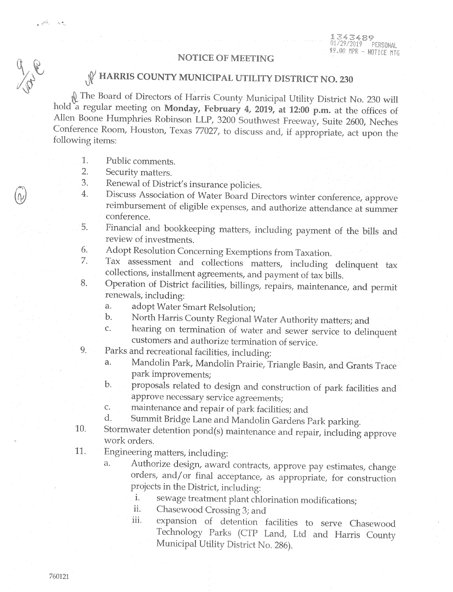## **NOTICE OF MEETING**

## W HARRIS COUNTY MUNICIPAL UTILITY DISTRICT NO. 230

No. 230 will The Board of Directors of Harris County Municipal Utility District No. 230 will hold a regular meeting on Monday, February 4, 2019, at 12:00 p.m. at the offices of Allen Boone Humphries Robinson LLP, 3200 Southwest Freeway, Suite 2600, Neches Conference Room, Houston, Texas 77027, to discuss and, if appropriate, act upon the following items:

1. Public comments.

 $\mathbf{r} \in \mathbb{R}^{ \sum_{i=1}^n \mathbb{Z}^n \times \mathbb{Z}^n}$ 

- $\overline{2}.$ Security matters.
- Renewal of District's insurance policies. 3.
- Discuss Association of Water Board Directors winter conference, approve 4. reimbursement of eligible expenses, and authorize attendance at summer conference.
- Financial and bookkeeping matters, including payment of the bills and 5. review of investments.
- Adopt Resolution Concerning Exemptions from Taxation. 6.
- Tax assessment and collections matters, including delinquent tax 7. collections, installment agreements, and payment of tax bills.
- Operation of District facilities, billings, repairs, maintenance, and permit 8. renewals, including:
	- adopt Water Smart Relsolution; a.
	- North Harris County Regional Water Authority matters; and  $\mathbf{b}$ .
	- hearing on termination of water and sewer service to delinquent  $\overline{C}$ . customers and authorize termination of service.
- 9. Parks and recreational facilities, including:
	- Mandolin Park, Mandolin Prairie, Triangle Basin, and Grants Trace a. park improvements;
	- proposals related to design and construction of park facilities and  $\mathbf b$ . approve necessary service agreements;
	- maintenance and repair of park facilities; and  $\mathsf{C}.$
	- Summit Bridge Lane and Mandolin Gardens Park parking. d.
- Stormwater detention pond(s) maintenance and repair, including approve 10. work orders.
- 11. Engineering matters, including:
	- Authorize design, award contracts, approve pay estimates, change a. orders, and/or final acceptance, as appropriate, for construction projects in the District, including:
		- sewage treatment plant chlorination modifications; i.
		- Chasewood Crossing 3; and ii.
		- expansion of detention facilities to serve Chasewood iii. Technology Parks (CTP Land, Ltd and Harris County Municipal Utility District No. 286).